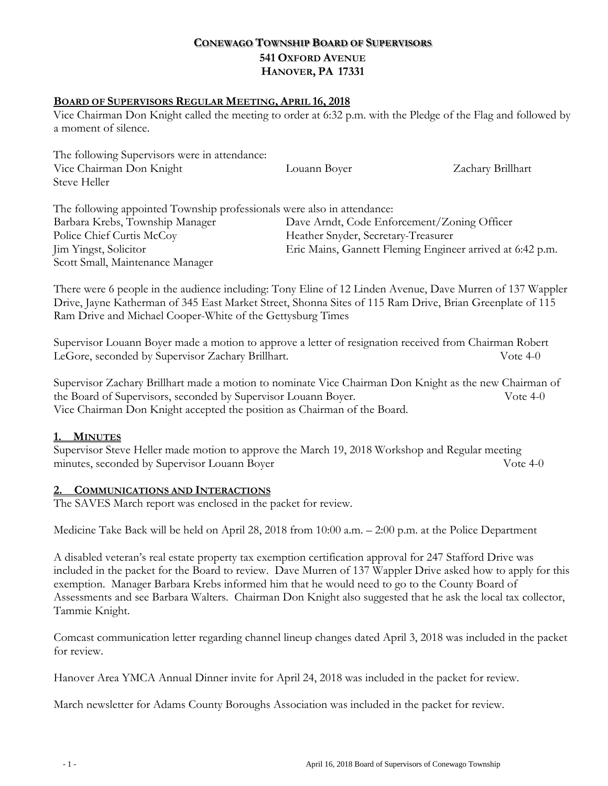# **CONEWAGO TOWNSHIP BOARD OF SUPERVISORS 541 OXFORD AVENUE HANOVER, PA 17331**

#### **BOARD OF SUPERVISORS REGULAR MEETING, APRIL 16, 2018**

Vice Chairman Don Knight called the meeting to order at 6:32 p.m. with the Pledge of the Flag and followed by a moment of silence.

The following Supervisors were in attendance: Vice Chairman Don Knight Louann Boyer Zachary Brillhart Steve Heller The following appointed Township professionals were also in attendance: Barbara Krebs, Township Manager Dave Arndt, Code Enforcement/Zoning Officer Police Chief Curtis McCoy Heather Snyder, Secretary-Treasurer Jim Yingst, Solicitor Eric Mains, Gannett Fleming Engineer arrived at 6:42 p.m.

There were 6 people in the audience including: Tony Eline of 12 Linden Avenue, Dave Murren of 137 Wappler Drive, Jayne Katherman of 345 East Market Street, Shonna Sites of 115 Ram Drive, Brian Greenplate of 115 Ram Drive and Michael Cooper-White of the Gettysburg Times

Supervisor Louann Boyer made a motion to approve a letter of resignation received from Chairman Robert LeGore, seconded by Supervisor Zachary Brillhart. Vote 4-0

Supervisor Zachary Brillhart made a motion to nominate Vice Chairman Don Knight as the new Chairman of the Board of Supervisors, seconded by Supervisor Louann Boyer. Vote 4-0 Vice Chairman Don Knight accepted the position as Chairman of the Board.

## **1. MINUTES**

Supervisor Steve Heller made motion to approve the March 19, 2018 Workshop and Regular meeting minutes, seconded by Supervisor Louann Boyer Vote 4-0

#### **2. COMMUNICATIONS AND INTERACTIONS**

Scott Small, Maintenance Manager

The SAVES March report was enclosed in the packet for review.

Medicine Take Back will be held on April 28, 2018 from 10:00 a.m. – 2:00 p.m. at the Police Department

A disabled veteran's real estate property tax exemption certification approval for 247 Stafford Drive was included in the packet for the Board to review. Dave Murren of 137 Wappler Drive asked how to apply for this exemption. Manager Barbara Krebs informed him that he would need to go to the County Board of Assessments and see Barbara Walters. Chairman Don Knight also suggested that he ask the local tax collector, Tammie Knight.

Comcast communication letter regarding channel lineup changes dated April 3, 2018 was included in the packet for review.

Hanover Area YMCA Annual Dinner invite for April 24, 2018 was included in the packet for review.

March newsletter for Adams County Boroughs Association was included in the packet for review.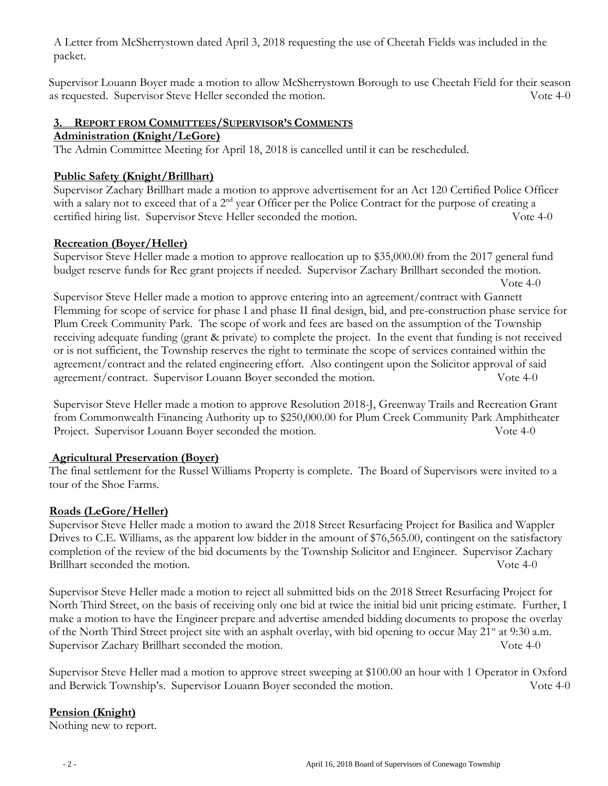A Letter from McSherrystown dated April 3, 2018 requesting the use of Cheetah Fields was included in the packet.

Supervisor Louann Boyer made a motion to allow McSherrystown Borough to use Cheetah Field for their season as requested. Supervisor Steve Heller seconded the motion. Vote 4-0

#### **3. REPORT FROM COMMITTEES/SUPERVISOR'S COMMENTS**

#### **Administration (Knight/LeGore)**

The Admin Committee Meeting for April 18, 2018 is cancelled until it can be rescheduled.

# **Public Safety (Knight/Brillhart)**

Supervisor Zachary Brillhart made a motion to approve advertisement for an Act 120 Certified Police Officer with a salary not to exceed that of a  $2<sup>nd</sup>$  year Officer per the Police Contract for the purpose of creating a certified hiring list. Supervisor Steve Heller seconded the motion. Vote 4-0

# **Recreation (Boyer/Heller)**

Supervisor Steve Heller made a motion to approve reallocation up to \$35,000.00 from the 2017 general fund budget reserve funds for Rec grant projects if needed. Supervisor Zachary Brillhart seconded the motion. Vote 4-0

Supervisor Steve Heller made a motion to approve entering into an agreement/contract with Gannett Flemming for scope of service for phase I and phase II final design, bid, and pre-construction phase service for Plum Creek Community Park. The scope of work and fees are based on the assumption of the Township receiving adequate funding (grant & private) to complete the project. In the event that funding is not received or is not sufficient, the Township reserves the right to terminate the scope of services contained within the agreement/contract and the related engineering effort. Also contingent upon the Solicitor approval of said agreement/contract. Supervisor Louann Boyer seconded the motion. Vote 4-0

Supervisor Steve Heller made a motion to approve Resolution 2018-J, Greenway Trails and Recreation Grant from Commonwealth Financing Authority up to \$250,000.00 for Plum Creek Community Park Amphitheater Project. Supervisor Louann Boyer seconded the motion. Vote 4-0

## **Agricultural Preservation (Boyer)**

The final settlement for the Russel Williams Property is complete. The Board of Supervisors were invited to a tour of the Shoe Farms.

## **Roads (LeGore/Heller)**

Supervisor Steve Heller made a motion to award the 2018 Street Resurfacing Project for Basilica and Wappler Drives to C.E. Williams, as the apparent low bidder in the amount of \$76,565.00, contingent on the satisfactory completion of the review of the bid documents by the Township Solicitor and Engineer. Supervisor Zachary Brillhart seconded the motion. Solve 4-0

Supervisor Steve Heller made a motion to reject all submitted bids on the 2018 Street Resurfacing Project for North Third Street, on the basis of receiving only one bid at twice the initial bid unit pricing estimate. Further, I make a motion to have the Engineer prepare and advertise amended bidding documents to propose the overlay of the North Third Street project site with an asphalt overlay, with bid opening to occur May 21<sup>st</sup> at 9:30 a.m. Supervisor Zachary Brillhart seconded the motion. Vote 4-0

Supervisor Steve Heller mad a motion to approve street sweeping at \$100.00 an hour with 1 Operator in Oxford and Berwick Township's. Supervisor Louann Boyer seconded the motion. Vote 4-0

# **Pension (Knight)**

Nothing new to report.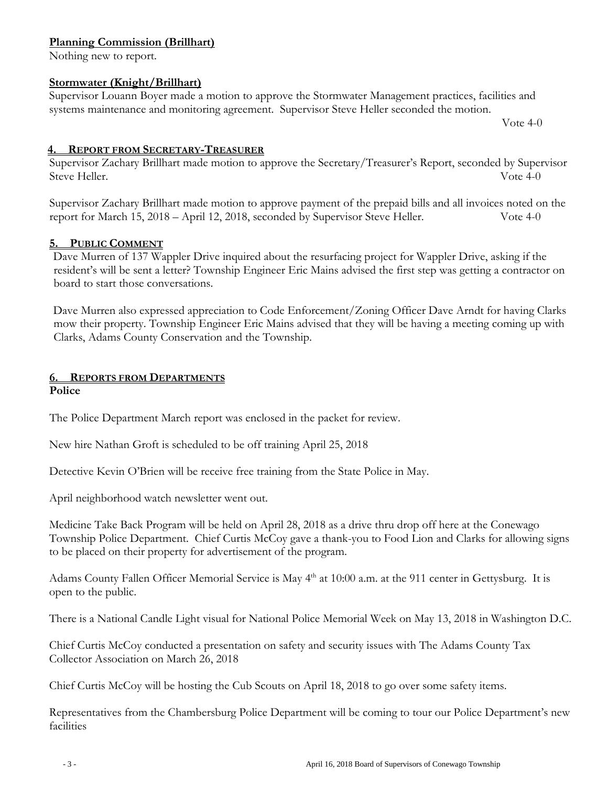#### **Planning Commission (Brillhart)**

Nothing new to report.

#### **Stormwater (Knight/Brillhart)**

Supervisor Louann Boyer made a motion to approve the Stormwater Management practices, facilities and systems maintenance and monitoring agreement. Supervisor Steve Heller seconded the motion.

Vote 4-0

#### **4. REPORT FROM SECRETARY-TREASURER**

Supervisor Zachary Brillhart made motion to approve the Secretary/Treasurer's Report, seconded by Supervisor Steve Heller. Vote 4-0

Supervisor Zachary Brillhart made motion to approve payment of the prepaid bills and all invoices noted on the report for March 15, 2018 – April 12, 2018, seconded by Supervisor Steve Heller. Vote 4-0

## **5. PUBLIC COMMENT**

Dave Murren of 137 Wappler Drive inquired about the resurfacing project for Wappler Drive, asking if the resident's will be sent a letter? Township Engineer Eric Mains advised the first step was getting a contractor on board to start those conversations.

Dave Murren also expressed appreciation to Code Enforcement/Zoning Officer Dave Arndt for having Clarks mow their property. Township Engineer Eric Mains advised that they will be having a meeting coming up with Clarks, Adams County Conservation and the Township.

#### **6. REPORTS FROM DEPARTMENTS Police**

The Police Department March report was enclosed in the packet for review.

New hire Nathan Groft is scheduled to be off training April 25, 2018

Detective Kevin O'Brien will be receive free training from the State Police in May.

April neighborhood watch newsletter went out.

Medicine Take Back Program will be held on April 28, 2018 as a drive thru drop off here at the Conewago Township Police Department. Chief Curtis McCoy gave a thank-you to Food Lion and Clarks for allowing signs to be placed on their property for advertisement of the program.

Adams County Fallen Officer Memorial Service is May 4<sup>th</sup> at 10:00 a.m. at the 911 center in Gettysburg. It is open to the public.

There is a National Candle Light visual for National Police Memorial Week on May 13, 2018 in Washington D.C.

Chief Curtis McCoy conducted a presentation on safety and security issues with The Adams County Tax Collector Association on March 26, 2018

Chief Curtis McCoy will be hosting the Cub Scouts on April 18, 2018 to go over some safety items.

Representatives from the Chambersburg Police Department will be coming to tour our Police Department's new facilities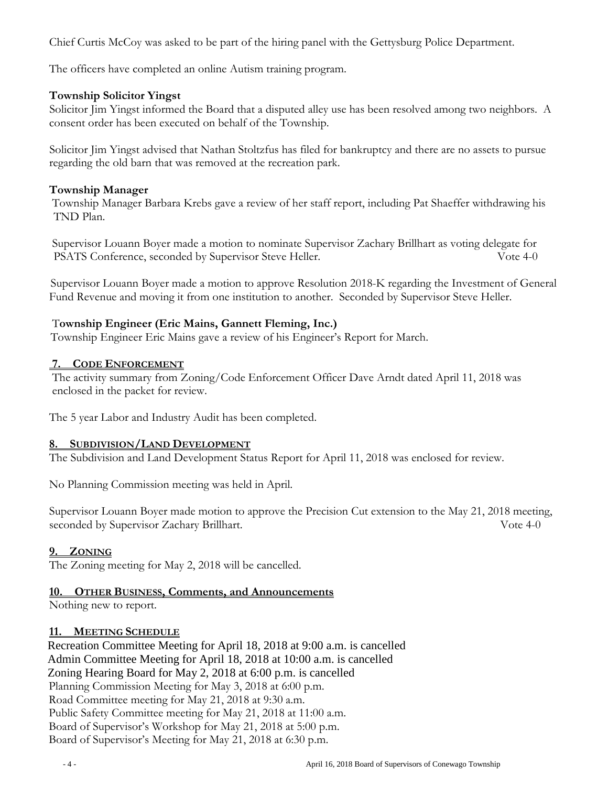Chief Curtis McCoy was asked to be part of the hiring panel with the Gettysburg Police Department.

The officers have completed an online Autism training program.

#### **Township Solicitor Yingst**

Solicitor Jim Yingst informed the Board that a disputed alley use has been resolved among two neighbors. A consent order has been executed on behalf of the Township.

Solicitor Jim Yingst advised that Nathan Stoltzfus has filed for bankruptcy and there are no assets to pursue regarding the old barn that was removed at the recreation park.

#### **Township Manager**

Township Manager Barbara Krebs gave a review of her staff report, including Pat Shaeffer withdrawing his TND Plan.

Supervisor Louann Boyer made a motion to nominate Supervisor Zachary Brillhart as voting delegate for PSATS Conference, seconded by Supervisor Steve Heller. Vote 4-0

 Supervisor Louann Boyer made a motion to approve Resolution 2018-K regarding the Investment of General Fund Revenue and moving it from one institution to another. Seconded by Supervisor Steve Heller.

#### T**ownship Engineer (Eric Mains, Gannett Fleming, Inc.)**

Township Engineer Eric Mains gave a review of his Engineer's Report for March.

#### **7. CODE ENFORCEMENT**

The activity summary from Zoning/Code Enforcement Officer Dave Arndt dated April 11, 2018 was enclosed in the packet for review.

The 5 year Labor and Industry Audit has been completed.

## **8. SUBDIVISION/LAND DEVELOPMENT**

The Subdivision and Land Development Status Report for April 11, 2018 was enclosed for review.

No Planning Commission meeting was held in April.

Supervisor Louann Boyer made motion to approve the Precision Cut extension to the May 21, 2018 meeting, seconded by Supervisor Zachary Brillhart. Vote 4-0

## **9. ZONING**

The Zoning meeting for May 2, 2018 will be cancelled.

## **10. OTHER BUSINESS, Comments, and Announcements**

Nothing new to report.

#### **11. MEETING SCHEDULE**

 Recreation Committee Meeting for April 18, 2018 at 9:00 a.m. is cancelled Admin Committee Meeting for April 18, 2018 at 10:00 a.m. is cancelled Zoning Hearing Board for May 2, 2018 at 6:00 p.m. is cancelled Planning Commission Meeting for May 3, 2018 at 6:00 p.m. Road Committee meeting for May 21, 2018 at 9:30 a.m. Public Safety Committee meeting for May 21, 2018 at 11:00 a.m. Board of Supervisor's Workshop for May 21, 2018 at 5:00 p.m. Board of Supervisor's Meeting for May 21, 2018 at 6:30 p.m.